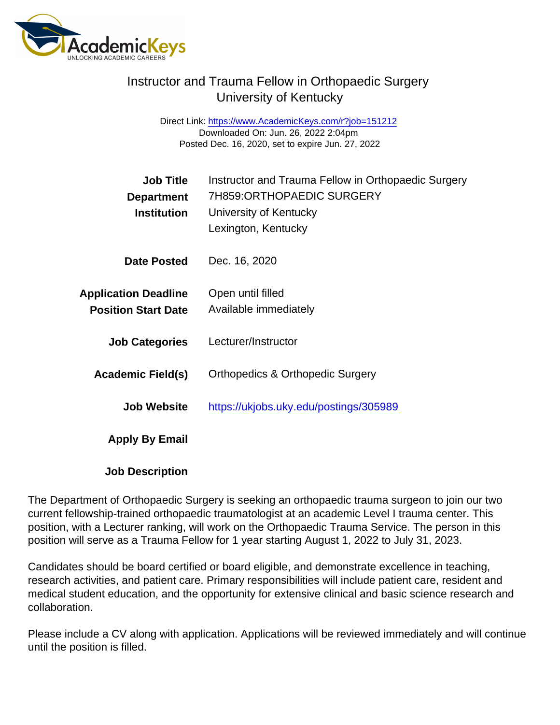## Instructor and Trauma Fellow in Orthopaedic Surgery University of Kentucky

Direct Link: <https://www.AcademicKeys.com/r?job=151212> Downloaded On: Jun. 26, 2022 2:04pm Posted Dec. 16, 2020, set to expire Jun. 27, 2022

| Job Title<br>Department<br>Institution                    | Instructor and Trauma Fellow in Orthopaedic Surgery<br>7H859:ORTHOPAEDIC SURGERY<br>University of Kentucky<br>Lexington, Kentucky |
|-----------------------------------------------------------|-----------------------------------------------------------------------------------------------------------------------------------|
| Date Posted                                               | Dec. 16, 2020                                                                                                                     |
| <b>Application Deadline</b><br><b>Position Start Date</b> | Open until filled<br>Available immediately                                                                                        |
| <b>Job Categories</b>                                     | Lecturer/Instructor                                                                                                               |
| Academic Field(s)                                         | <b>Orthopedics &amp; Orthopedic Surgery</b>                                                                                       |
| Job Website                                               | https://ukjobs.uky.edu/postings/305989                                                                                            |
| Apply By Email                                            |                                                                                                                                   |

Job Description

The Department of Orthopaedic Surgery is seeking an orthopaedic trauma surgeon to join our two current fellowship-trained orthopaedic traumatologist at an academic Level I trauma center. This position, with a Lecturer ranking, will work on the Orthopaedic Trauma Service. The person in this position will serve as a Trauma Fellow for 1 year starting August 1, 2022 to July 31, 2023.

Candidates should be board certified or board eligible, and demonstrate excellence in teaching, research activities, and patient care. Primary responsibilities will include patient care, resident and medical student education, and the opportunity for extensive clinical and basic science research and collaboration.

Please include a CV along with application. Applications will be reviewed immediately and will continue until the position is filled.